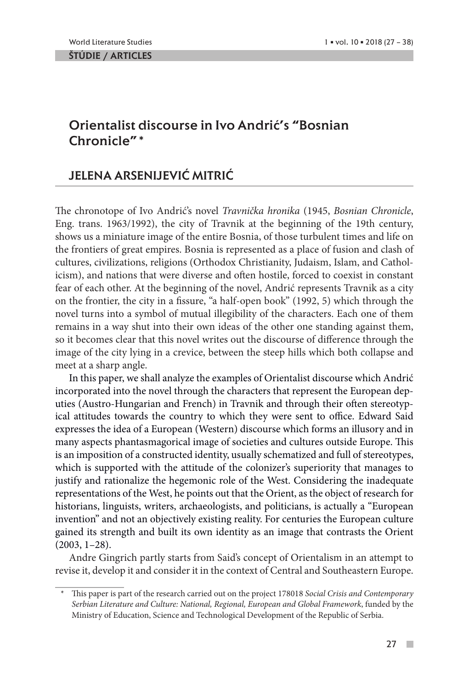ŠTÚDIE / ARTICLES

## Orientalist discourse in Ivo Andrić's "Bosnian Chronicle"\*

# JELENA ARSENIJEVIĆ MITRIĆ

The chronotope of Ivo Andrić's novel *Travnička hronika* (1945, *Bosnian Chronicle*, Eng. trans. 1963/1992), the city of Travnik at the beginning of the 19th century, shows us a miniature image of the entire Bosnia, of those turbulent times and life on the frontiers of great empires. Bosnia is represented as a place of fusion and clash of cultures, civilizations, religions (Orthodox Christianity, Judaism, Islam, and Catholicism), and nations that were diverse and often hostile, forced to coexist in constant fear of each other. At the beginning of the novel, Andrić represents Travnik as a city on the frontier, the city in a fissure, "a half-open book" (1992, 5) which through the novel turns into a symbol of mutual illegibility of the characters. Each one of them remains in a way shut into their own ideas of the other one standing against them, so it becomes clear that this novel writes out the discourse of difference through the image of the city lying in a crevice, between the steep hills which both collapse and meet at a sharp angle.

In this paper, we shall analyze the examples of Orientalist discourse which Andrić incorporated into the novel through the characters that represent the European deputies (Austro-Hungarian and French) in Travnik and through their often stereotypical attitudes towards the country to which they were sent to office. Edward Said expresses the idea of a European (Western) discourse which forms an illusory and in many aspects phantasmagorical image of societies and cultures outside Europe. This is an imposition of a constructed identity, usually schematized and full of stereotypes, which is supported with the attitude of the colonizer's superiority that manages to justify and rationalize the hegemonic role of the West. Considering the inadequate representations of the West, he points out that the Orient, as the object of research for historians, linguists, writers, archaeologists, and politicians, is actually a "European invention" and not an objectively existing reality. For centuries the European culture gained its strength and built its own identity as an image that contrasts the Orient (2003, 1–28).

Andre Gingrich partly starts from Said's concept of Orientalism in an attempt to revise it, develop it and consider it in the context of Central and Southeastern Europe.

<sup>\*</sup> This paper is part of the research carried out on the project 178018 *Social Crisis and Contemporary Serbian Literature and Culture: National, Regional, European and Global Framework*, funded by the Ministry of Education, Science and Technological Development of the Republic of Serbia.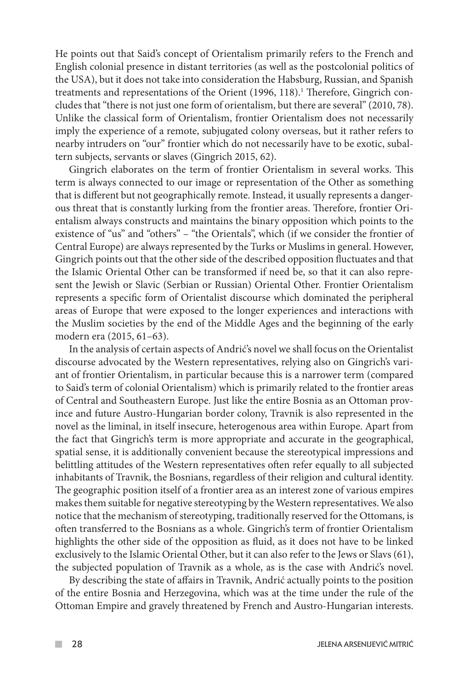He points out that Said's concept of Orientalism primarily refers to the French and English colonial presence in distant territories (as well as the postcolonial politics of the USA), but it does not take into consideration the Habsburg, Russian, and Spanish treatments and representations of the Orient (1996, 118).<sup>1</sup> Therefore, Gingrich concludes that "there is not just one form of orientalism, but there are several" (2010, 78). Unlike the classical form of Orientalism, frontier Orientalism does not necessarily imply the experience of a remote, subjugated colony overseas, but it rather refers to nearby intruders on "our" frontier which do not necessarily have to be exotic, subaltern subjects, servants or slaves (Gingrich 2015, 62).

Gingrich elaborates on the term of frontier Orientalism in several works. This term is always connected to our image or representation of the Other as something that is different but not geographically remote. Instead, it usually represents a dangerous threat that is constantly lurking from the frontier areas. Therefore, frontier Orientalism always constructs and maintains the binary opposition which points to the existence of "us" and "others" – "the Orientals", which (if we consider the frontier of Central Europe) are always represented by the Turks or Muslims in general. However, Gingrich points out that the other side of the described opposition fluctuates and that the Islamic Oriental Other can be transformed if need be, so that it can also represent the Jewish or Slavic (Serbian or Russian) Oriental Other. Frontier Orientalism represents a specific form of Orientalist discourse which dominated the peripheral areas of Europe that were exposed to the longer experiences and interactions with the Muslim societies by the end of the Middle Ages and the beginning of the early modern era (2015, 61–63).

In the analysis of certain aspects of Andrić's novel we shall focus on the Orientalist discourse advocated by the Western representatives, relying also on Gingrich's variant of frontier Orientalism, in particular because this is a narrower term (compared to Said's term of colonial Orientalism) which is primarily related to the frontier areas of Central and Southeastern Europe. Just like the entire Bosnia as an Ottoman province and future Austro-Hungarian border colony, Travnik is also represented in the novel as the liminal, in itself insecure, heterogenous area within Europe. Apart from the fact that Gingrich's term is more appropriate and accurate in the geographical, spatial sense, it is additionally convenient because the stereotypical impressions and belittling attitudes of the Western representatives often refer equally to all subjected inhabitants of Travnik, the Bosnians, regardless of their religion and cultural identity. The geographic position itself of a frontier area as an interest zone of various empires makes them suitable for negative stereotyping by the Western representatives. We also notice that the mechanism of stereotyping, traditionally reserved for the Ottomans, is often transferred to the Bosnians as a whole. Gingrich's term of frontier Orientalism highlights the other side of the opposition as fluid, as it does not have to be linked exclusively to the Islamic Oriental Other, but it can also refer to the Jews or Slavs (61), the subjected population of Travnik as a whole, as is the case with Andrić's novel.

By describing the state of affairs in Travnik, Andrić actually points to the position of the entire Bosnia and Herzegovina, which was at the time under the rule of the Ottoman Empire and gravely threatened by French and Austro-Hungarian interests.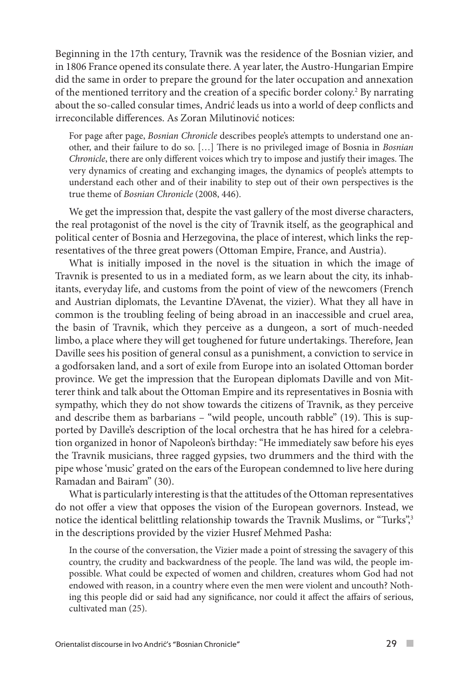Beginning in the 17th century, Travnik was the residence of the Bosnian vizier, and in 1806 France opened its consulate there. A year later, the Austro-Hungarian Empire did the same in order to prepare the ground for the later occupation and annexation of the mentioned territory and the creation of a specific border colony.<sup>2</sup> By narrating about the so-called consular times, Andrić leads us into a world of deep conflicts and irreconcilable differences. As Zoran Milutinović notices:

For page after page, *Bosnian Chronicle* describes people's attempts to understand one another, and their failure to do so. […] There is no privileged image of Bosnia in *Bosnian Chronicle*, there are only different voices which try to impose and justify their images. The very dynamics of creating and exchanging images, the dynamics of people's attempts to understand each other and of their inability to step out of their own perspectives is the true theme of *Bosnian Chronicle* (2008, 446).

We get the impression that, despite the vast gallery of the most diverse characters, the real protagonist of the novel is the city of Travnik itself, as the geographical and political center of Bosnia and Herzegovina, the place of interest, which links the representatives of the three great powers (Ottoman Empire, France, and Austria).

What is initially imposed in the novel is the situation in which the image of Travnik is presented to us in a mediated form, as we learn about the city, its inhabitants, everyday life, and customs from the point of view of the newcomers (French and Austrian diplomats, the Levantine D'Avenat, the vizier). What they all have in common is the troubling feeling of being abroad in an inaccessible and cruel area, the basin of Travnik, which they perceive as a dungeon, a sort of much-needed limbo, a place where they will get toughened for future undertakings. Therefore, Jean Daville sees his position of general consul as a punishment, a conviction to service in a godforsaken land, and a sort of exile from Europe into an isolated Ottoman border province. We get the impression that the European diplomats Daville and von Mitterer think and talk about the Ottoman Empire and its representatives in Bosnia with sympathy, which they do not show towards the citizens of Travnik, as they perceive and describe them as barbarians – "wild people, uncouth rabble" (19). This is supported by Daville's description of the local orchestra that he has hired for a celebration organized in honor of Napoleon's birthday: "He immediately saw before his eyes the Travnik musicians, three ragged gypsies, two drummers and the third with the pipe whose 'music' grated on the ears of the European condemned to live here during Ramadan and Bairam" (30).

What is particularly interesting is that the attitudes of the Ottoman representatives do not offer a view that opposes the vision of the European governors. Instead, we notice the identical belittling relationship towards the Travnik Muslims, or "Turks", 3 in the descriptions provided by the vizier Husref Mehmed Pasha:

In the course of the conversation, the Vizier made a point of stressing the savagery of this country, the crudity and backwardness of the people. The land was wild, the people impossible. What could be expected of women and children, creatures whom God had not endowed with reason, in a country where even the men were violent and uncouth? Nothing this people did or said had any significance, nor could it affect the affairs of serious, cultivated man (25).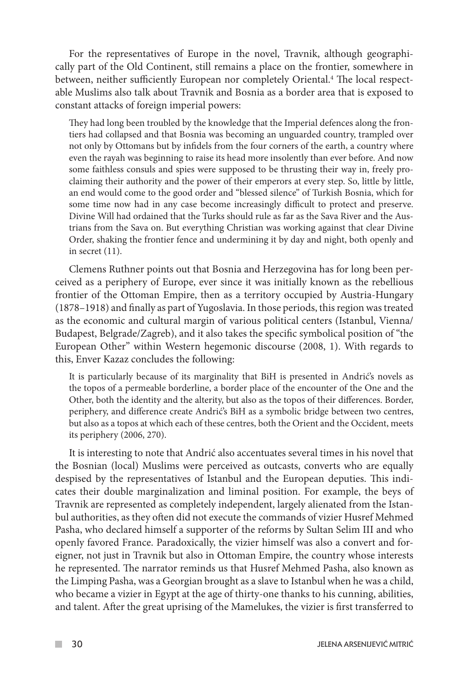For the representatives of Europe in the novel, Travnik, although geographically part of the Old Continent, still remains a place on the frontier, somewhere in between, neither sufficiently European nor completely Oriental.<sup>4</sup> The local respectable Muslims also talk about Travnik and Bosnia as a border area that is exposed to constant attacks of foreign imperial powers:

They had long been troubled by the knowledge that the Imperial defences along the frontiers had collapsed and that Bosnia was becoming an unguarded country, trampled over not only by Ottomans but by infidels from the four corners of the earth, a country where even the rayah was beginning to raise its head more insolently than ever before. And now some faithless consuls and spies were supposed to be thrusting their way in, freely proclaiming their authority and the power of their emperors at every step. So, little by little, an end would come to the good order and "blessed silence" of Turkish Bosnia, which for some time now had in any case become increasingly difficult to protect and preserve. Divine Will had ordained that the Turks should rule as far as the Sava River and the Austrians from the Sava on. But everything Christian was working against that clear Divine Order, shaking the frontier fence and undermining it by day and night, both openly and in secret (11).

Clemens Ruthner points out that Bosnia and Herzegovina has for long been perceived as a periphery of Europe, ever since it was initially known as the rebellious frontier of the Ottoman Empire, then as a territory occupied by Austria-Hungary (1878–1918) and finally as part of Yugoslavia. In those periods, this region was treated as the economic and cultural margin of various political centers (Istanbul, Vienna/ Budapest, Belgrade/Zagreb), and it also takes the specific symbolical position of "the European Other" within Western hegemonic discourse (2008, 1). With regards to this, Enver Kazaz concludes the following:

It is particularly because of its marginality that BiH is presented in Andrić's novels as the topos of a permeable borderline, a border place of the encounter of the One and the Other, both the identity and the alterity, but also as the topos of their differences. Border, periphery, and difference create Andrić's BiH as a symbolic bridge between two centres, but also as a topos at which each of these centres, both the Orient and the Occident, meets its periphery (2006, 270).

It is interesting to note that Andrić also accentuates several times in his novel that the Bosnian (local) Muslims were perceived as outcasts, converts who are equally despised by the representatives of Istanbul and the European deputies. This indicates their double marginalization and liminal position. For example, the beys of Travnik are represented as completely independent, largely alienated from the Istanbul authorities, as they often did not execute the commands of vizier Husref Mehmed Pasha, who declared himself a supporter of the reforms by Sultan Selim III and who openly favored France. Paradoxically, the vizier himself was also a convert and foreigner, not just in Travnik but also in Ottoman Empire, the country whose interests he represented. The narrator reminds us that Husref Mehmed Pasha, also known as the Limping Pasha, was a Georgian brought as a slave to Istanbul when he was a child, who became a vizier in Egypt at the age of thirty-one thanks to his cunning, abilities, and talent. After the great uprising of the Mamelukes, the vizier is first transferred to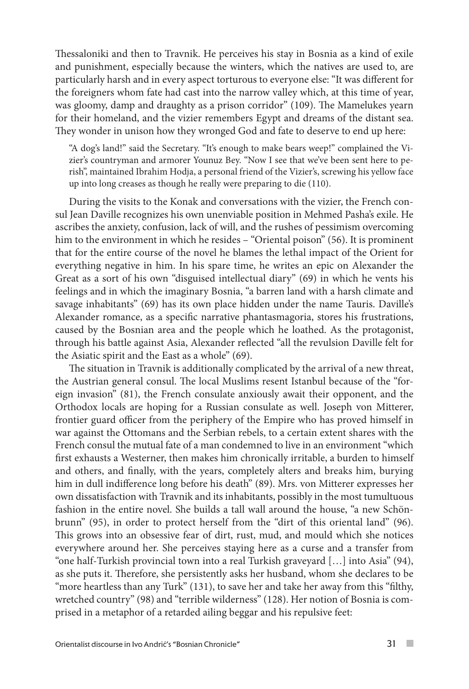Thessaloniki and then to Travnik. He perceives his stay in Bosnia as a kind of exile and punishment, especially because the winters, which the natives are used to, are particularly harsh and in every aspect torturous to everyone else: "It was different for the foreigners whom fate had cast into the narrow valley which, at this time of year, was gloomy, damp and draughty as a prison corridor" (109). The Mamelukes yearn for their homeland, and the vizier remembers Egypt and dreams of the distant sea. They wonder in unison how they wronged God and fate to deserve to end up here:

"A dog's land!" said the Secretary. "It's enough to make bears weep!" complained the Vizier's countryman and armorer Younuz Bey. "Now I see that we've been sent here to perish", maintained Ibrahim Hodja, a personal friend of the Vizier's, screwing his yellow face up into long creases as though he really were preparing to die (110).

During the visits to the Konak and conversations with the vizier, the French consul Jean Daville recognizes his own unenviable position in Mehmed Pasha's exile. He ascribes the anxiety, confusion, lack of will, and the rushes of pessimism overcoming him to the environment in which he resides – "Oriental poison" (56). It is prominent that for the entire course of the novel he blames the lethal impact of the Orient for everything negative in him. In his spare time, he writes an epic on Alexander the Great as a sort of his own "disguised intellectual diary" (69) in which he vents his feelings and in which the imaginary Bosnia, "a barren land with a harsh climate and savage inhabitants" (69) has its own place hidden under the name Tauris. Daville's Alexander romance, as a specific narrative phantasmagoria, stores his frustrations, caused by the Bosnian area and the people which he loathed. As the protagonist, through his battle against Asia, Alexander reflected "all the revulsion Daville felt for the Asiatic spirit and the East as a whole" (69).

The situation in Travnik is additionally complicated by the arrival of a new threat, the Austrian general consul. The local Muslims resent Istanbul because of the "foreign invasion" (81), the French consulate anxiously await their opponent, and the Orthodox locals are hoping for a Russian consulate as well. Joseph von Mitterer, frontier guard officer from the periphery of the Empire who has proved himself in war against the Ottomans and the Serbian rebels, to a certain extent shares with the French consul the mutual fate of a man condemned to live in an environment "which first exhausts a Westerner, then makes him chronically irritable, a burden to himself and others, and finally, with the years, completely alters and breaks him, burying him in dull indifference long before his death" (89). Mrs. von Mitterer expresses her own dissatisfaction with Travnik and its inhabitants, possibly in the most tumultuous fashion in the entire novel. She builds a tall wall around the house, "a new Schönbrunn" (95), in order to protect herself from the "dirt of this oriental land" (96). This grows into an obsessive fear of dirt, rust, mud, and mould which she notices everywhere around her. She perceives staying here as a curse and a transfer from "one half-Turkish provincial town into a real Turkish graveyard […] into Asia" (94), as she puts it. Therefore, she persistently asks her husband, whom she declares to be "more heartless than any Turk" (131), to save her and take her away from this "filthy, wretched country" (98) and "terrible wilderness" (128). Her notion of Bosnia is comprised in a metaphor of a retarded ailing beggar and his repulsive feet: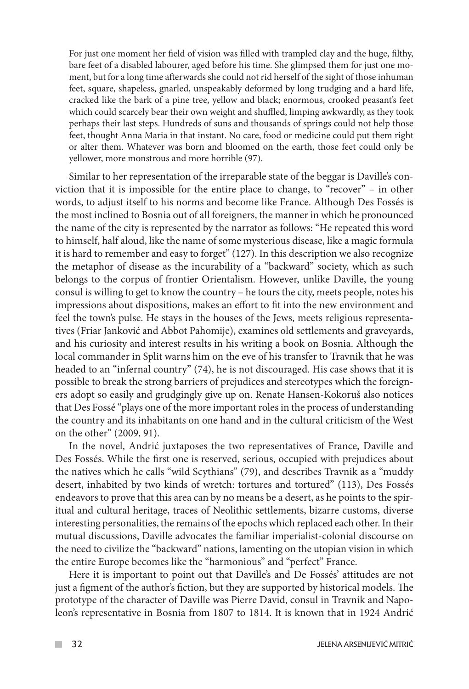For just one moment her field of vision was filled with trampled clay and the huge, filthy, bare feet of a disabled labourer, aged before his time. She glimpsed them for just one moment, but for a long time afterwards she could not rid herself of the sight of those inhuman feet, square, shapeless, gnarled, unspeakably deformed by long trudging and a hard life, cracked like the bark of a pine tree, yellow and black; enormous, crooked peasant's feet which could scarcely bear their own weight and shuffled, limping awkwardly, as they took perhaps their last steps. Hundreds of suns and thousands of springs could not help those feet, thought Anna Maria in that instant. No care, food or medicine could put them right or alter them. Whatever was born and bloomed on the earth, those feet could only be yellower, more monstrous and more horrible (97).

Similar to her representation of the irreparable state of the beggar is Daville's conviction that it is impossible for the entire place to change, to "recover" – in other words, to adjust itself to his norms and become like France. Although Des Fossés is the most inclined to Bosnia out of all foreigners, the manner in which he pronounced the name of the city is represented by the narrator as follows: "He repeated this word to himself, half aloud, like the name of some mysterious disease, like a magic formula it is hard to remember and easy to forget" (127). In this description we also recognize the metaphor of disease as the incurability of a "backward" society, which as such belongs to the corpus of frontier Orientalism. However, unlike Daville, the young consul is willing to get to know the country – he tours the city, meets people, notes his impressions about dispositions, makes an effort to fit into the new environment and feel the town's pulse. He stays in the houses of the Jews, meets religious representatives (Friar Janković and Abbot Pahomije), examines old settlements and graveyards, and his curiosity and interest results in his writing a book on Bosnia. Although the local commander in Split warns him on the eve of his transfer to Travnik that he was headed to an "infernal country" (74), he is not discouraged. His case shows that it is possible to break the strong barriers of prejudices and stereotypes which the foreigners adopt so easily and grudgingly give up on. Renate Hansen-Kokoruš also notices that Des Fossé "plays one of the more important roles in the process of understanding the country and its inhabitants on one hand and in the cultural criticism of the West on the other" (2009, 91).

In the novel, Andrić juxtaposes the two representatives of France, Daville and Des Fossés. While the first one is reserved, serious, occupied with prejudices about the natives which he calls "wild Scythians" (79), and describes Travnik as a "muddy desert, inhabited by two kinds of wretch: tortures and tortured" (113), Des Fossés endeavors to prove that this area can by no means be a desert, as he points to the spiritual and cultural heritage, traces of Neolithic settlements, bizarre customs, diverse interesting personalities, the remains of the epochs which replaced each other. In their mutual discussions, Daville advocates the familiar imperialist-colonial discourse on the need to civilize the "backward" nations, lamenting on the utopian vision in which the entire Europe becomes like the "harmonious" and "perfect" France.

Here it is important to point out that Daville's and De Fossés' attitudes are not just a figment of the author's fiction, but they are supported by historical models. The prototype of the character of Daville was Pierre David, consul in Travnik and Napoleon's representative in Bosnia from 1807 to 1814. It is known that in 1924 Andrić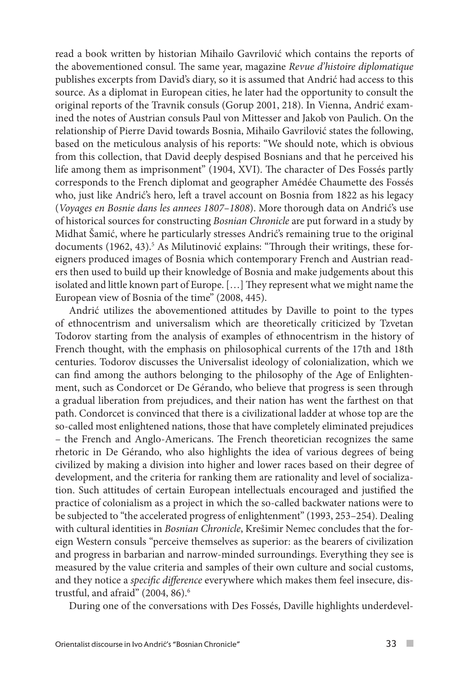read a book written by historian Mihailo Gavrilović which contains the reports of the abovementioned consul. The same year, magazine *Revue d'histoire diplomatique* publishes excerpts from David's diary, so it is assumed that Andrić had access to this source. As a diplomat in European cities, he later had the opportunity to consult the original reports of the Travnik consuls (Gorup 2001, 218). In Vienna, Andrić examined the notes of Austrian consuls Paul von Mittesser and Jakob von Paulich. On the relationship of Pierre David towards Bosnia, Mihailo Gavrilović states the following, based on the meticulous analysis of his reports: "We should note, which is obvious from this collection, that David deeply despised Bosnians and that he perceived his life among them as imprisonment" (1904, XVI). The character of Des Fossés partly corresponds to the French diplomat and geographer Amédée Chaumette des Fossés who, just like Andrić's hero, left a travel account on Bosnia from 1822 as his legacy (*Voyages en Bosnie dans les annees 1807–1808*). More thorough data on Andrić's use of historical sources for constructing *Bosnian Chronicle* are put forward in a study by Midhat Šamić, where he particularly stresses Andrić's remaining true to the original documents (1962, 43).<sup>5</sup> As Milutinović explains: "Through their writings, these foreigners produced images of Bosnia which contemporary French and Austrian readers then used to build up their knowledge of Bosnia and make judgements about this isolated and little known part of Europe. […] They represent what we might name the European view of Bosnia of the time" (2008, 445).

Andrić utilizes the abovementioned attitudes by Daville to point to the types of ethnocentrism and universalism which are theoretically criticized by Tzvetan Todorov starting from the analysis of examples of ethnocentrism in the history of French thought, with the emphasis on philosophical currents of the 17th and 18th centuries. Todorov discusses the Universalist ideology of colonialization, which we can find among the authors belonging to the philosophy of the Age of Enlightenment, such as Condorcet or Dе Gérando, who believe that progress is seen through a gradual liberation from prejudices, and their nation has went the farthest on that path. Condorcet is convinced that there is a civilizational ladder at whose top are the so-called most enlightened nations, those that have completely eliminated prejudices – the French and Anglo-Americans. The French theoretician recognizes the same rhetoric in Dе Gérando, who also highlights the idea of various degrees of being civilized by making a division into higher and lower races based on their degree of development, and the criteria for ranking them are rationality and level of socialization. Such attitudes of certain European intellectuals encouraged and justified the practice of colonialism as a project in which the so-called backwater nations were to be subjected to "the accelerated progress of enlightenment" (1993, 253–254). Dealing with cultural identities in *Bosnian Chronicle*, Krešimir Nemec concludes that the foreign Western consuls "perceive themselves as superior: as the bearers of civilization and progress in barbarian and narrow-minded surroundings. Everything they see is measured by the value criteria and samples of their own culture and social customs, and they notice a *specific difference* everywhere which makes them feel insecure, distrustful, and afraid" (2004, 86).<sup>6</sup>

During one of the conversations with Des Fossés, Daville highlights underdevel-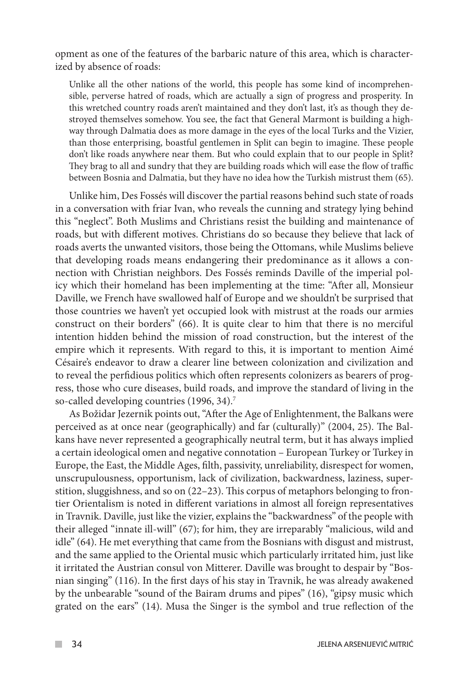opment as one of the features of the barbaric nature of this area, which is characterized by absence of roads:

Unlike all the other nations of the world, this people has some kind of incomprehensible, perverse hatred of roads, which are actually a sign of progress and prosperity. In this wretched country roads aren't maintained and they don't last, it's as though they destroyed themselves somehow. You see, the fact that General Marmont is building a highway through Dalmatia does as more damage in the eyes of the local Turks and the Vizier, than those enterprising, boastful gentlemen in Split can begin to imagine. These people don't like roads anywhere near them. But who could explain that to our people in Split? They brag to all and sundry that they are building roads which will ease the flow of traffic between Bosnia and Dalmatia, but they have no idea how the Turkish mistrust them (65).

Unlike him, Des Fossés will discover the partial reasons behind such state of roads in a conversation with friar Ivan, who reveals the cunning and strategy lying behind this "neglect". Both Muslims and Christians resist the building and maintenance of roads, but with different motives. Christians do so because they believe that lack of roads averts the unwanted visitors, those being the Ottomans, while Muslims believe that developing roads means endangering their predominance as it allows a connection with Christian neighbors. Des Fossés reminds Daville of the imperial policy which their homeland has been implementing at the time: "After all, Monsieur Daville, we French have swallowed half of Europe and we shouldn't be surprised that those countries we haven't yet occupied look with mistrust at the roads our armies construct on their borders" (66). It is quite clear to him that there is no merciful intention hidden behind the mission of road construction, but the interest of the empire which it represents. With regard to this, it is important to mention Aimé Césaire's endeavor to draw a clearer line between colonization and civilization and to reveal the perfidious politics which often represents colonizers as bearers of progress, those who cure diseases, build roads, and improve the standard of living in the so-called developing countries (1996, 34).<sup>7</sup>

As Božidar Jezernik points out, "After the Age of Enlightenment, the Balkans were perceived as at once near (geographically) and far (culturally)" (2004, 25). The Balkans have never represented a geographically neutral term, but it has always implied a certain ideological omen and negative connotation – European Turkey or Turkey in Europe, the East, the Middle Ages, filth, passivity, unreliability, disrespect for women, unscrupulousness, opportunism, lack of civilization, backwardness, laziness, superstition, sluggishness, and so on (22–23). This corpus of metaphors belonging to frontier Orientalism is noted in different variations in almost all foreign representatives in Travnik. Daville, just like the vizier, explains the "backwardness" of the people with their alleged "innate ill-will" (67); for him, they are irreparably "malicious, wild and idle" (64). He met everything that came from the Bosnians with disgust and mistrust, and the same applied to the Oriental music which particularly irritated him, just like it irritated the Austrian consul von Mitterer. Daville was brought to despair by "Bosnian singing" (116). In the first days of his stay in Travnik, he was already awakened by the unbearable "sound of the Bairam drums and pipes" (16), "gipsy music which grated on the ears" (14). Musa the Singer is the symbol and true reflection of the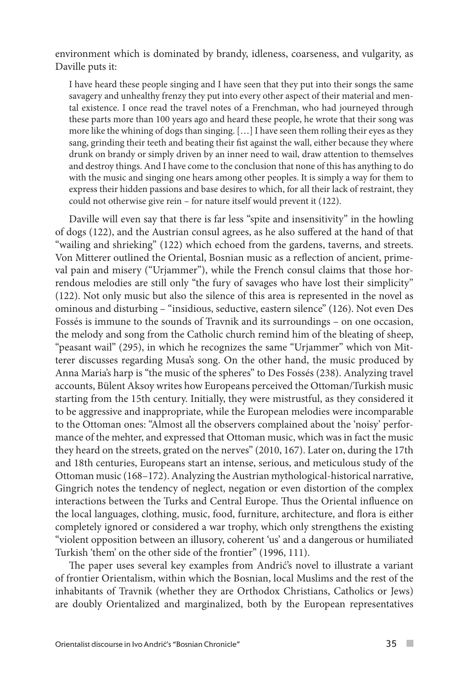environment which is dominated by brandy, idleness, coarseness, and vulgarity, as Daville puts it:

I have heard these people singing and I have seen that they put into their songs the same savagery and unhealthy frenzy they put into every other aspect of their material and mental existence. I once read the travel notes of a Frenchman, who had journeyed through these parts more than 100 years ago and heard these people, he wrote that their song was more like the whining of dogs than singing. […] I have seen them rolling their eyes as they sang, grinding their teeth and beating their fist against the wall, either because they where drunk on brandy or simply driven by an inner need to wail, draw attention to themselves and destroy things. And I have come to the conclusion that none of this has anything to do with the music and singing one hears among other peoples. It is simply a way for them to express their hidden passions and base desires to which, for all their lack of restraint, they could not otherwise give rein – for nature itself would prevent it (122).

Daville will even say that there is far less "spite and insensitivity" in the howling of dogs (122), and the Austrian consul agrees, as he also suffered at the hand of that "wailing and shrieking" (122) which echoed from the gardens, taverns, and streets. Von Mitterer outlined the Oriental, Bosnian music as a reflection of ancient, primeval pain and misery ("Urjammer"), while the French consul claims that those horrendous melodies are still only "the fury of savages who have lost their simplicity" (122). Not only music but also the silence of this area is represented in the novel as ominous and disturbing – "insidious, seductive, eastern silence" (126). Not even Des Fossés is immune to the sounds of Travnik and its surroundings – on one occasion, the melody and song from the Catholic church remind him of the bleating of sheep, "peasant wail" (295), in which he recognizes the same "Urjammer" which von Mitterer discusses regarding Musa's song. On the other hand, the music produced by Anna Maria's harp is "the music of the spheres" to Des Fossés (238). Analyzing travel accounts, Bülent Aksoy writes how Europeans perceived the Ottoman/Turkish music starting from the 15th century. Initially, they were mistrustful, as they considered it to be aggressive and inappropriate, while the European melodies were incomparable to the Ottoman ones: "Almost all the observers complained about the 'noisy' performance of the mehter, and expressed that Ottoman music, which was in fact the music they heard on the streets, grated on the nerves" (2010, 167). Later on, during the 17th and 18th centuries, Europeans start an intense, serious, and meticulous study of the Ottoman music (168–172). Analyzing the Austrian mythological-historical narrative, Gingrich notes the tendency of neglect, negation or even distortion of the complex interactions between the Turks and Central Europe. Thus the Oriental influence on the local languages, clothing, music, food, furniture, architecture, and flora is either completely ignored or considered a war trophy, which only strengthens the existing "violent opposition between an illusory, coherent 'us' and a dangerous or humiliated Turkish 'them' on the other side of the frontier" (1996, 111).

The paper uses several key examples from Andrić's novel to illustrate a variant of frontier Orientalism, within which the Bosnian, local Muslims and the rest of the inhabitants of Travnik (whether they are Orthodox Christians, Catholics or Jews) are doubly Orientalized and marginalized, both by the European representatives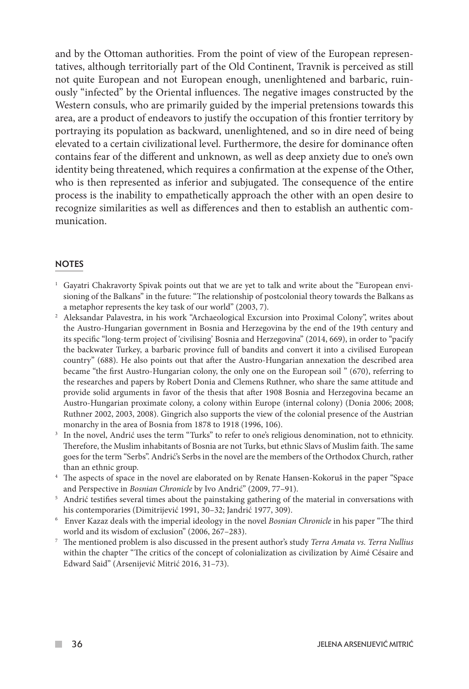and by the Ottoman authorities. From the point of view of the European representatives, although territorially part of the Old Continent, Travnik is perceived as still not quite European and not European enough, unenlightened and barbaric, ruinously "infected" by the Oriental influences. The negative images constructed by the Western consuls, who are primarily guided by the imperial pretensions towards this area, are a product of endeavors to justify the occupation of this frontier territory by portraying its population as backward, unenlightened, and so in dire need of being elevated to a certain civilizational level. Furthermore, the desire for dominance often contains fear of the different and unknown, as well as deep anxiety due to one's own identity being threatened, which requires a confirmation at the expense of the Other, who is then represented as inferior and subjugated. The consequence of the entire process is the inability to empathetically approach the other with an open desire to recognize similarities as well as differences and then to establish an authentic communication.

#### **NOTES**

- <sup>1</sup> Gayatri Chakravorty Spivak points out that we are yet to talk and write about the "European envisioning of the Balkans" in the future: "The relationship of postcolonial theory towards the Balkans as a metaphor represents the key task of our world" (2003, 7).
- <sup>2</sup> Aleksandar Palavestra, in his work "Archaeological Excursion into Proximal Colony", writes about the Austro-Hungarian government in Bosnia and Herzegovina by the end of the 19th century and its specific "long-term project of 'civilising' Bosnia and Herzegovina" (2014, 669), in order to "pacify the backwater Turkey, a barbaric province full of bandits and convert it into a civilised European country" (688). He also points out that after the Austro-Hungarian annexation the described area became "the first Austro-Hungarian colony, the only one on the European soil " (670), referring to the researches and papers by Robert Donia and Clemens Ruthner, who share the same attitude and provide solid arguments in favor of the thesis that after 1908 Bosnia and Herzegovina became an Austro-Hungarian proximate colony, a colony within Europe (internal colony) (Donia 2006; 2008; Ruthner 2002, 2003, 2008). Gingrich also supports the view of the colonial presence of the Austrian monarchy in the area of Bosnia from 1878 to 1918 (1996, 106).
- <sup>3</sup> In the novel, Andrić uses the term "Turks" to refer to one's religious denomination, not to ethnicity. Therefore, the Muslim inhabitants of Bosnia are not Turks, but ethnic Slavs of Muslim faith. The same goes for the term "Serbs". Andrić's Serbs in the novel are the members of the Orthodox Church, rather than an ethnic group.
- <sup>4</sup> The aspects of space in the novel are elaborated on by Renate Hansen-Kokoruš in the paper "Space and Perspective in *Bosnian Chronicle* by Ivo Andrić" (2009, 77–91).<br><sup>5</sup> Andrić testifies several times about the painstaking gathering of the material in conversations with
- his contemporaries (Dimitrijević 1991, 30–32; Jandrić 1977, 309). 6 Enver Kazaz deals with the imperial ideology in the novel *Bosnian Chronicle* in his paper "The third
- world and its wisdom of exclusion" (2006, 267–283).
- <sup>7</sup> The mentioned problem is also discussed in the present author's study *Terra Amata vs. Terra Nullius* within the chapter "The critics of the concept of colonialization as civilization by Aimé Césaire and Edward Said" (Arsenijević Mitrić 2016, 31–73).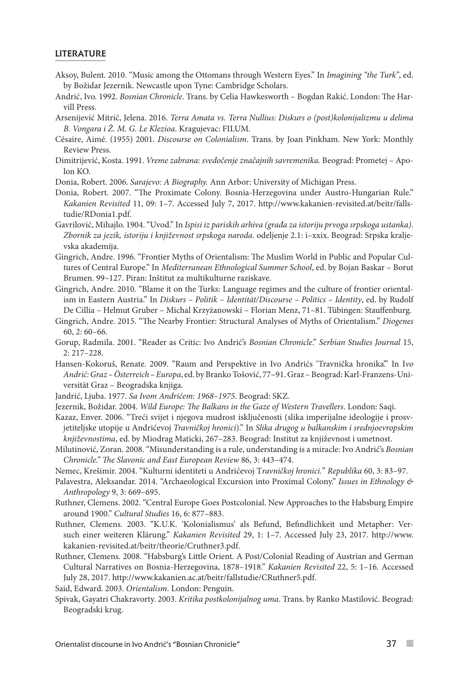#### LITERATURE

- Aksoy, Bulent. 2010. "Music among the Ottomans through Western Eyes." In *Imagining "the Turk"*, ed. by Božidar Jezernik. Newcastle upon Tyne: Cambridge Scholars.
- Andrić, Ivo. 1992. *Bosnian Chronicle*. Trans. by Celia Hawkesworth Bogdan Rakić. London: The Harvill Press.
- Arsenijević Mitrić, Jelena. 2016. *Terra Amata vs. Terra Nullius: Diskurs o (post)kolonijalizmu u delima B. Vongara i Ž. M. G. Le Klezioa*. Kragujevac: FILUM.
- Césaire, Aimé. (1955) 2001. *Discourse on Colonialism*. Trans. by Joan Pinkham. New York: Monthly Review Press.
- Dimitrijević, Kosta. 1991. *Vreme zabrana: svedočenje značajnih savremenika.* Beograd: Prometej Apolon KO.
- Donia, Robert. 2006. *Sarajevo: A Biography.* Ann Arbor: University of Michigan Press.
- Donia, Robert. 2007. "The Proximate Colony. Bosnia-Herzegovina under Austro-Hungarian Rule." *Kakanien Revisited* 11, 09: 1–7. Accessed July 7, 2017. http://www.kakanien-revisited.at/beitr/fallstudie/RDonia1.pdf.
- Gavrilović, Mihajlo. 1904. "Uvod." In *Ispisi iz pariskih arhiva (građa za istoriju prvoga srpskoga ustanka). Zbornik za jezik, istoriju i književnost srpskoga naroda.* odeljenje 2.1: i–xxix. Beograd: Srpska kraljevska akademija.
- Gingrich, Andre. 1996. "Frontier Myths of Orientalism: The Muslim World in Public and Popular Cultures of Central Europe." In *Mediterranean Ethnological Summer School*, ed. by Bojan Baskar – Borut Brumen. 99–127. Piran: Inštitut za multikulturne raziskave.
- Gingrich, Andre. 2010. "Blame it on the Turks: Language regimes and the culture of frontier orientalism in Eastern Austria." In *Diskurs – Politik – Identität/Discourse – Politics – Identity*, ed. by Rudolf De Cillia – Helmut Gruber – Michal Krzyżanowski – Florian Menz, 71–81. Tübingen: Stauffenburg.
- Gingrich, Andre. 2015. "The Nearby Frontier: Structural Analyses of Myths of Orientalism." *Diogenes* 60, 2: 60–66.
- Gorup, Radmila. 2001. "Reader as Critic: Ivo Andrić's *Bosnian Chronicle*." *Serbian Studies Journal* 15, 2: 217–228.
- Hansen-Kokoruš, Renate. 2009. "Raum and Perspektive in Ivo Andrićs 'Travnička hronika'." In I*vo Andrić: Graz – Österreich – Europa*, ed. by Branko Tošović, 77–91. Graz – Beograd: Karl-Franzens-Universität Graz – Beogradska knjiga.
- Jandrić, Ljuba. 1977. *Sa Ivom Andrićem: 1968–1975*. Beograd: SKZ.
- Jezernik, Božidar. 2004. *Wild Europe: The Balkans in the Gaze of Western Travellers*. London: Saqi.
- Kazaz, Enver. 2006. "Treći svijet i njegova mudrost isključenosti (slika imperijalne ideologije i prosvjetiteljske utopije u Andrićevoj *Travničkoj hronici*)." In *Slika drugog u balkanskim i srednjoevropskim književnostima*, ed. by Miodrag Maticki, 267–283. Beograd: Institut za književnost i umetnost.
- Milutinović, Zoran. 2008. "Misunderstanding is a rule, understanding is a miracle: Ivo Andrić's *Bosnian Chronicle." The Slavonic and East European Review* 86, 3: 443–474.
- Nemec, Krešimir. 2004. "Kulturni identiteti u Andrićevoj T*ravničkoj hronici.*" *Republika* 60, 3: 83–97.
- Palavestra, Aleksandar. 2014. "Archaeological Excursion into Proximal Colony." *Issues in Ethnology & Anthropology* 9, 3: 669–695.
- Ruthner, Clemens. 2002. "Central Europe Goes Postcolonial. New Approaches to the Habsburg Empire around 1900." *Cultural Studies* 16, 6: 877–883.
- Ruthner, Clemens. 2003. "K.U.K. 'Kolonialismus' als Befund, Befindlichkeit und Metapher: Versuch einer weiteren Klärung." *Kakanien Revisited* 29, 1: 1–7. Accessed July 23, 2017. http://www. kakanien-revisited.at/beitr/theorie/Cruthner3.pdf.
- Ruthner, Clemens. 2008. "Habsburg's Little Orient. A Post/Colonial Reading of Austrian and German Cultural Narratives on Bosnia-Herzegovina, 1878–1918." *Kakanien Revisited* 22, 5: 1–16. Accessed July 28, 2017. http://www.kakanien.ac.at/beitr/fallstudie/CRuthner5.pdf.

Said, Edward. 2003. *Orientalism*. London: Penguin.

Spivak, Gayatri Chakravorty. 2003. *Kritika postkolonijalnog uma*. Trans. by Ranko Mastilović. Beograd: Beogradski krug.